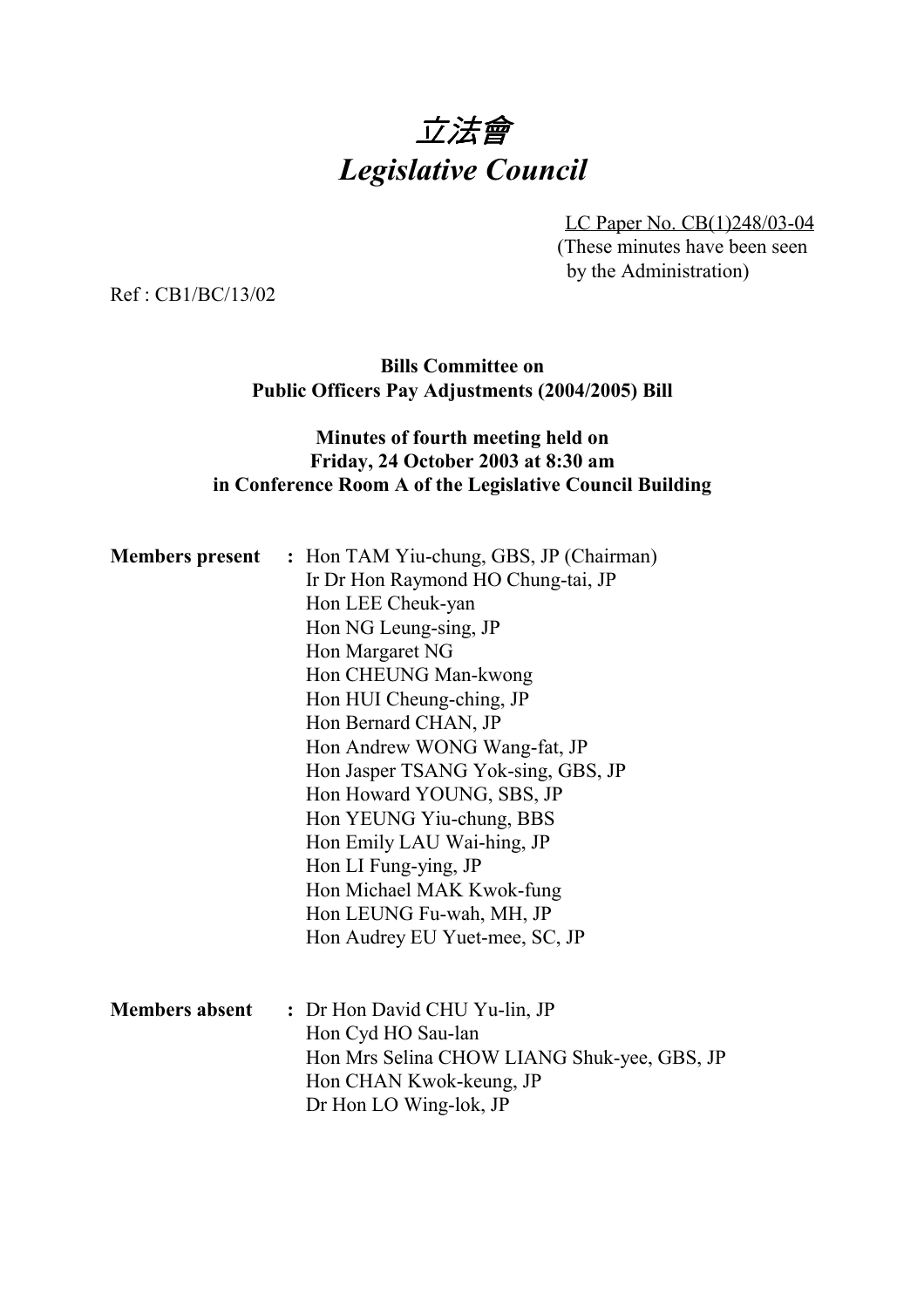# 立法會 *Legislative Council*

LC Paper No. CB(1)248/03-04 (These minutes have been seen by the Administration)

Ref : CB1/BC/13/02

# **Bills Committee on Public Officers Pay Adjustments (2004/2005) Bill**

# **Minutes of fourth meeting held on Friday, 24 October 2003 at 8:30 am in Conference Room A of the Legislative Council Building**

|                       | <b>Members present</b> : Hon TAM Yiu-chung, GBS, JP (Chairman) |
|-----------------------|----------------------------------------------------------------|
|                       | Ir Dr Hon Raymond HO Chung-tai, JP                             |
|                       | Hon LEE Cheuk-yan                                              |
|                       | Hon NG Leung-sing, JP                                          |
|                       | Hon Margaret NG                                                |
|                       | Hon CHEUNG Man-kwong                                           |
|                       | Hon HUI Cheung-ching, JP                                       |
|                       | Hon Bernard CHAN, JP                                           |
|                       | Hon Andrew WONG Wang-fat, JP                                   |
|                       | Hon Jasper TSANG Yok-sing, GBS, JP                             |
|                       | Hon Howard YOUNG, SBS, JP                                      |
|                       | Hon YEUNG Yiu-chung, BBS                                       |
|                       | Hon Emily LAU Wai-hing, JP                                     |
|                       | Hon LI Fung-ying, JP                                           |
|                       | Hon Michael MAK Kwok-fung                                      |
|                       | Hon LEUNG Fu-wah, MH, JP                                       |
|                       | Hon Audrey EU Yuet-mee, SC, JP                                 |
|                       |                                                                |
| <b>Members absent</b> | : Dr Hon David CHU Yu-lin, JP                                  |
|                       | Hon Cyd HO Sau-lan                                             |
|                       | Hon Mrs Selina CHOW LIANG Shuk-yee, GBS, JP                    |
|                       | Hon CHAN Kwok-keung, JP                                        |
|                       | Dr Hon LO Wing-lok, JP                                         |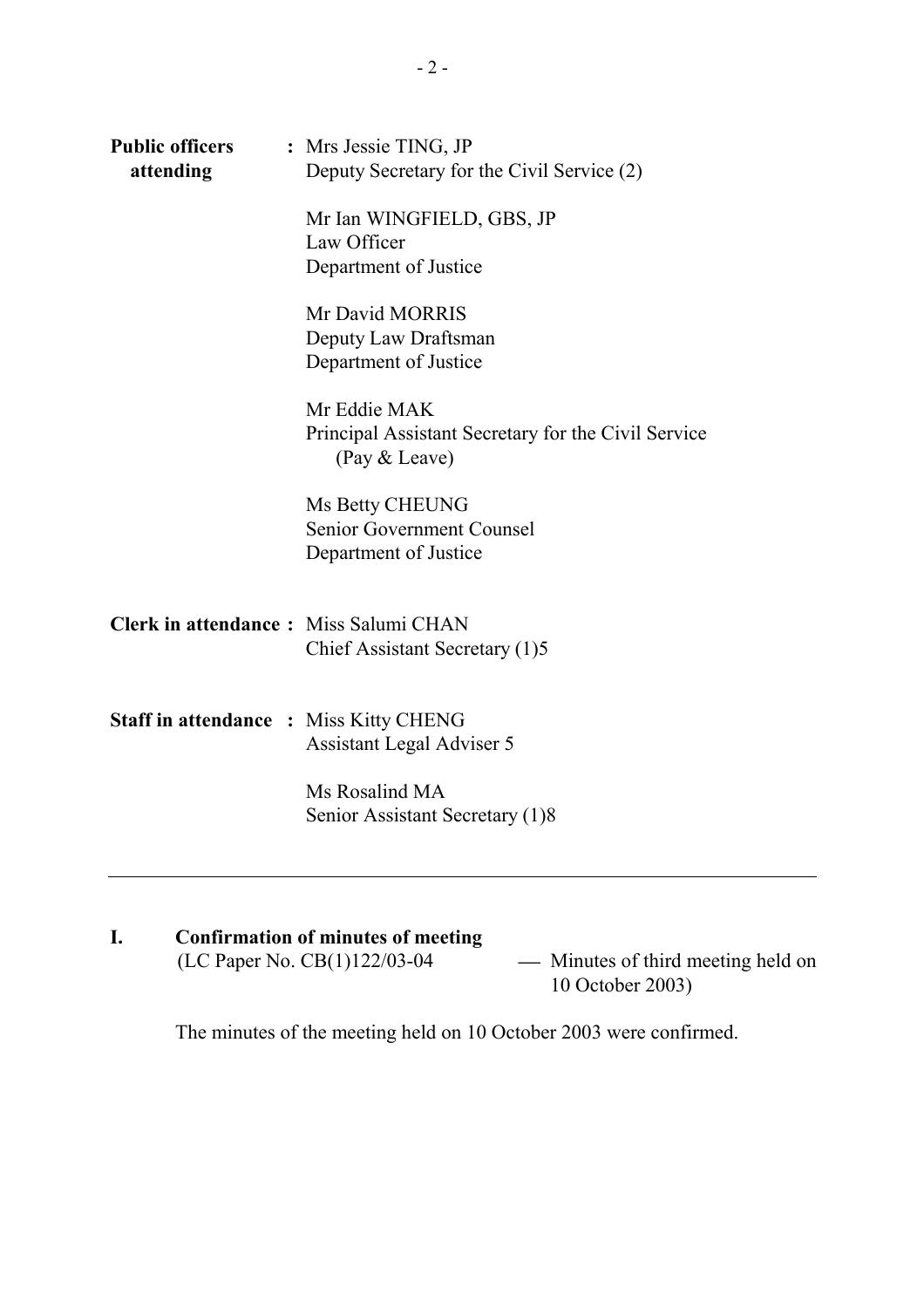| <b>Public officers</b><br>attending           | : Mrs Jessie TING, JP<br>Deputy Secretary for the Civil Service (2)                  |
|-----------------------------------------------|--------------------------------------------------------------------------------------|
|                                               | Mr Ian WINGFIELD, GBS, JP<br>Law Officer<br>Department of Justice                    |
|                                               | Mr David MORRIS<br>Deputy Law Draftsman<br>Department of Justice                     |
|                                               | Mr Eddie MAK<br>Principal Assistant Secretary for the Civil Service<br>(Pay & Leave) |
|                                               | Ms Betty CHEUNG<br>Senior Government Counsel<br>Department of Justice                |
| <b>Clerk in attendance:</b> Miss Salumi CHAN  | Chief Assistant Secretary (1)5                                                       |
| <b>Staff in attendance : Miss Kitty CHENG</b> | <b>Assistant Legal Adviser 5</b>                                                     |
|                                               | Ms Rosalind MA<br>Senior Assistant Secretary (1)8                                    |

# **I. Confirmation of minutes of meeting** (LC Paper No. CB(1)122/03-04 Minutes of third meeting held on - Minutes of third meeting held on<br>10 October 2003)

The minutes of the meeting held on 10 October 2003 were confirmed.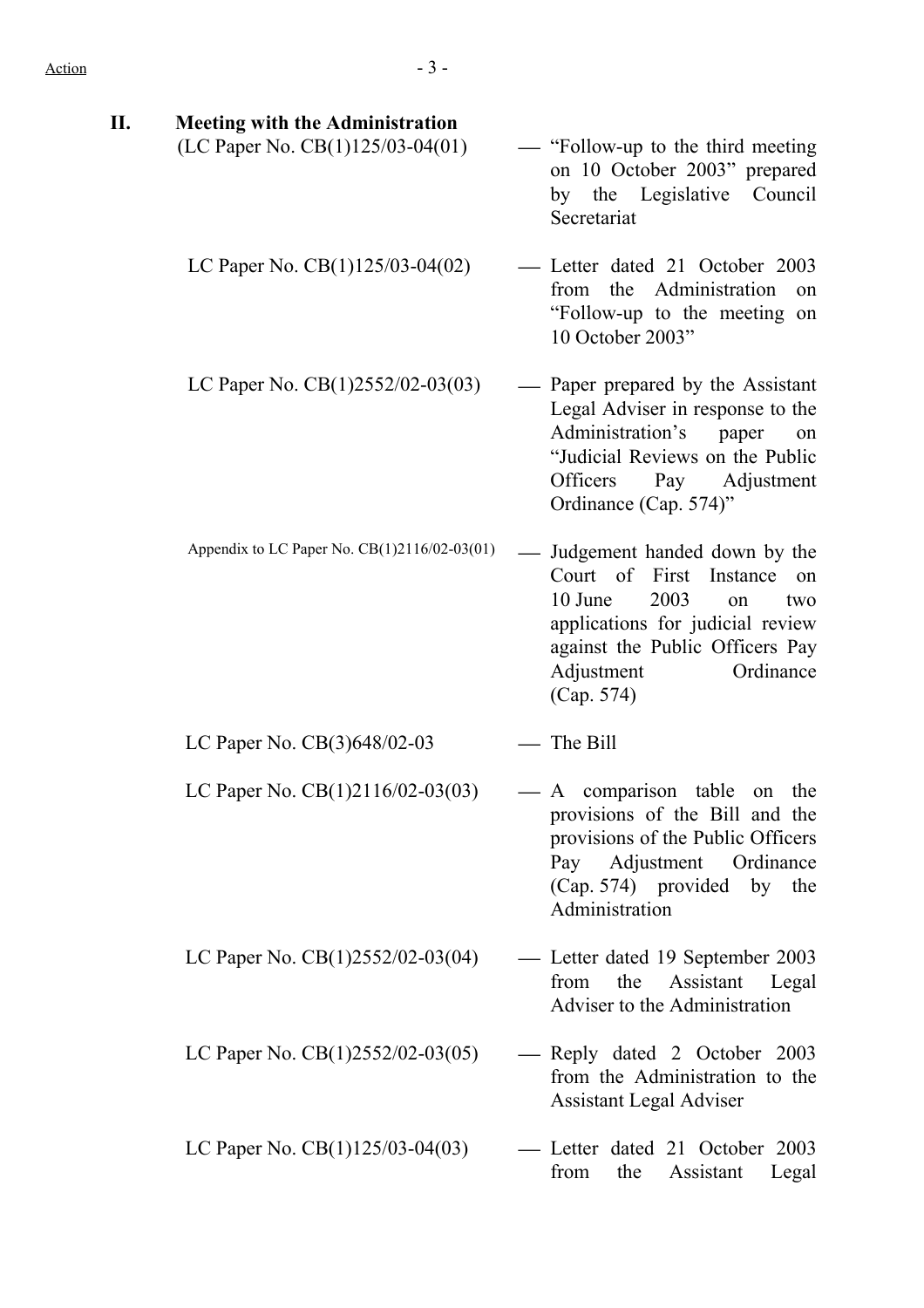| Π.<br><b>Meeting with the Administration</b><br>(LC Paper No. CB(1)125/03-04(01) | — "Follow-up to the third meeting"<br>on 10 October 2003" prepared<br>by the Legislative Council<br>Secretariat                                                                                               |
|----------------------------------------------------------------------------------|---------------------------------------------------------------------------------------------------------------------------------------------------------------------------------------------------------------|
| LC Paper No. $CB(1)125/03-04(02)$                                                | - Letter dated 21 October 2003<br>the Administration<br>from<br>on<br>"Follow-up to the meeting on<br>10 October 2003"                                                                                        |
| LC Paper No. CB(1)2552/02-03(03)                                                 | - Paper prepared by the Assistant<br>Legal Adviser in response to the<br>Administration's<br>paper<br>on<br>"Judicial Reviews on the Public<br>Officers<br>Pay Adjustment<br>Ordinance (Cap. 574)"            |
| Appendix to LC Paper No. CB(1)2116/02-03(01)                                     | Judgement handed down by the<br>Court of First Instance<br>on<br>10 June<br>2003<br>two<br>on<br>applications for judicial review<br>against the Public Officers Pay<br>Adjustment<br>Ordinance<br>(Cap. 574) |
| LC Paper No. CB(3)648/02-03                                                      | The Bill                                                                                                                                                                                                      |
| LC Paper No. CB(1)2116/02-03(03)                                                 | — A comparison table<br>on the<br>provisions of the Bill and the<br>provisions of the Public Officers<br>Pay Adjustment Ordinance<br>(Cap. 574) provided by the<br>Administration                             |
| LC Paper No. $CB(1)2552/02-03(04)$                                               | - Letter dated 19 September 2003<br>the<br>Assistant<br>from<br>Legal<br>Adviser to the Administration                                                                                                        |
| LC Paper No. $CB(1)2552/02-03(05)$                                               | - Reply dated 2 October 2003<br>from the Administration to the<br><b>Assistant Legal Adviser</b>                                                                                                              |
| LC Paper No. CB(1)125/03-04(03)                                                  | - Letter dated 21 October 2003<br>from<br>the<br>Assistant<br>Legal                                                                                                                                           |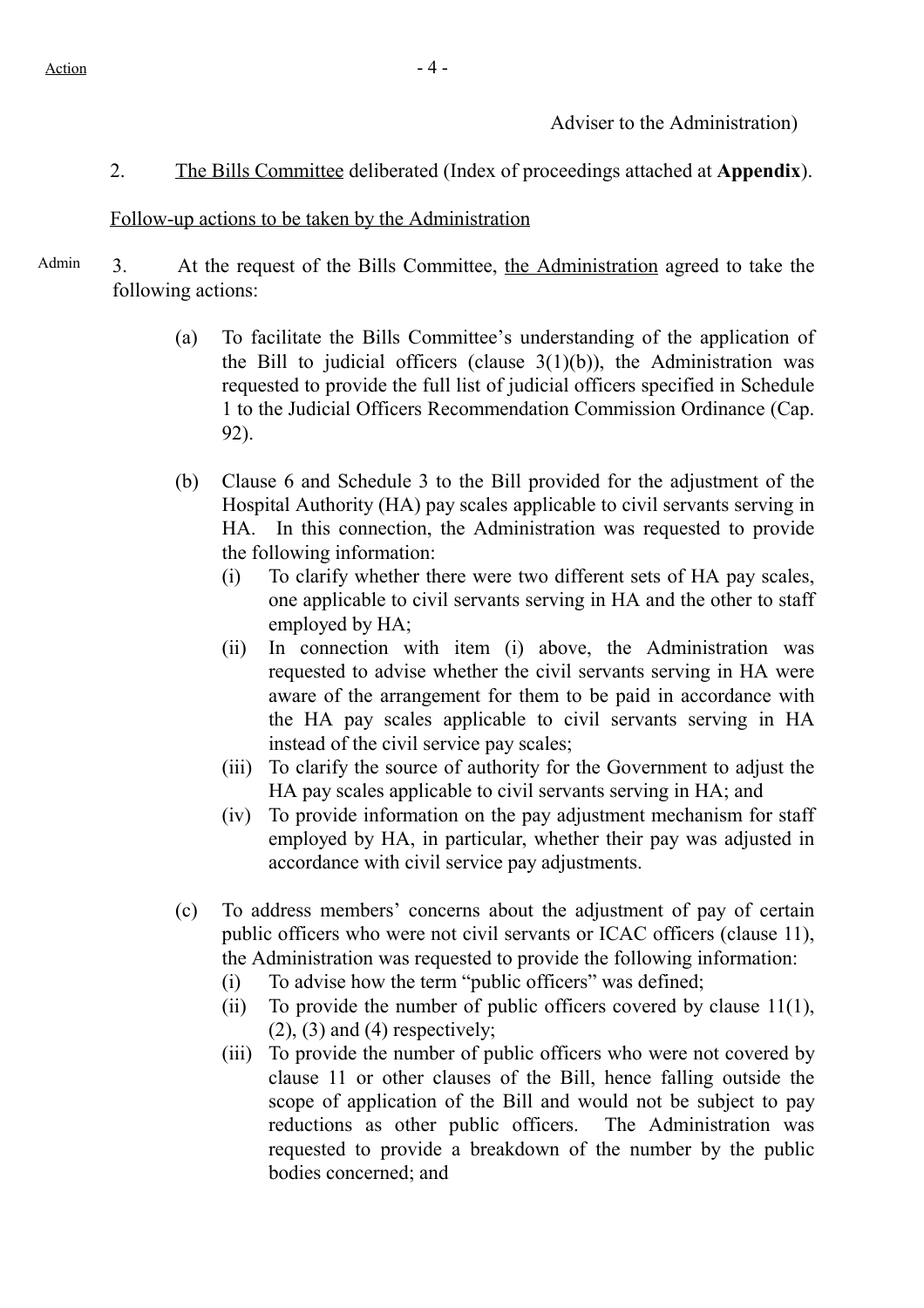Adviser to the Administration)

2. The Bills Committee deliberated (Index of proceedings attached at **Appendix**).

#### Follow-up actions to be taken by the Administration

- Admin 3. At the request of the Bills Committee, the Administration agreed to take the following actions:
	- (a) To facilitate the Bills Committee's understanding of the application of the Bill to judicial officers (clause  $3(1)(b)$ ), the Administration was requested to provide the full list of judicial officers specified in Schedule 1 to the Judicial Officers Recommendation Commission Ordinance (Cap. 92).
	- (b) Clause 6 and Schedule 3 to the Bill provided for the adjustment of the Hospital Authority (HA) pay scales applicable to civil servants serving in HA. In this connection, the Administration was requested to provide the following information:
		- (i) To clarify whether there were two different sets of HA pay scales, one applicable to civil servants serving in HA and the other to staff employed by HA;
		- (ii) In connection with item (i) above, the Administration was requested to advise whether the civil servants serving in HA were aware of the arrangement for them to be paid in accordance with the HA pay scales applicable to civil servants serving in HA instead of the civil service pay scales;
		- (iii) To clarify the source of authority for the Government to adjust the HA pay scales applicable to civil servants serving in HA; and
		- (iv) To provide information on the pay adjustment mechanism for staff employed by HA, in particular, whether their pay was adjusted in accordance with civil service pay adjustments.
	- (c) To address members' concerns about the adjustment of pay of certain public officers who were not civil servants or ICAC officers (clause 11), the Administration was requested to provide the following information:
		- (i) To advise how the term "public officers" was defined;
		- (ii) To provide the number of public officers covered by clause  $11(1)$ ,  $(2)$ ,  $(3)$  and  $(4)$  respectively;
		- (iii) To provide the number of public officers who were not covered by clause 11 or other clauses of the Bill, hence falling outside the scope of application of the Bill and would not be subject to pay reductions as other public officers. The Administration was requested to provide a breakdown of the number by the public bodies concerned; and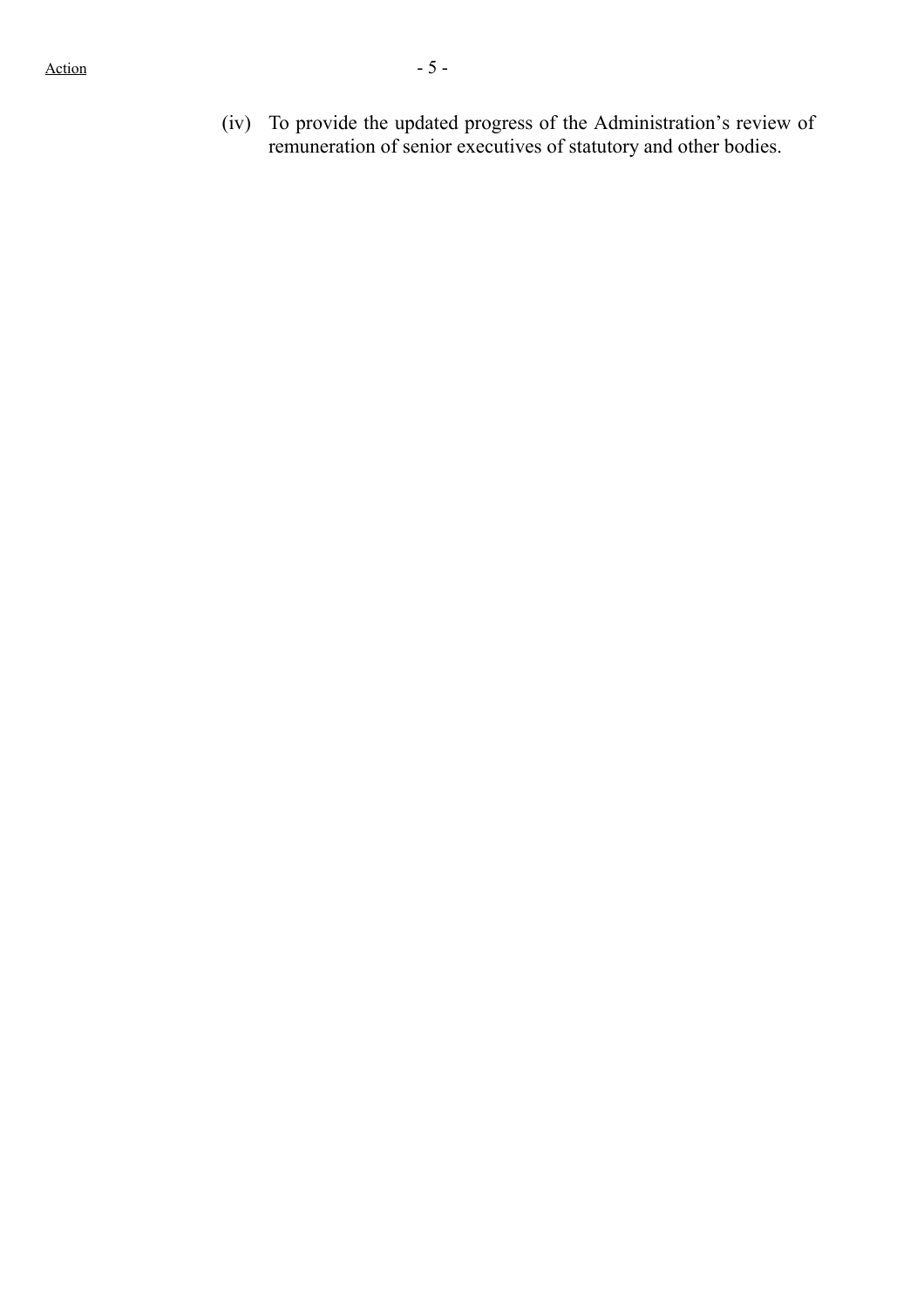(iv) To provide the updated progress of the Administration's review of remuneration of senior executives of statutory and other bodies.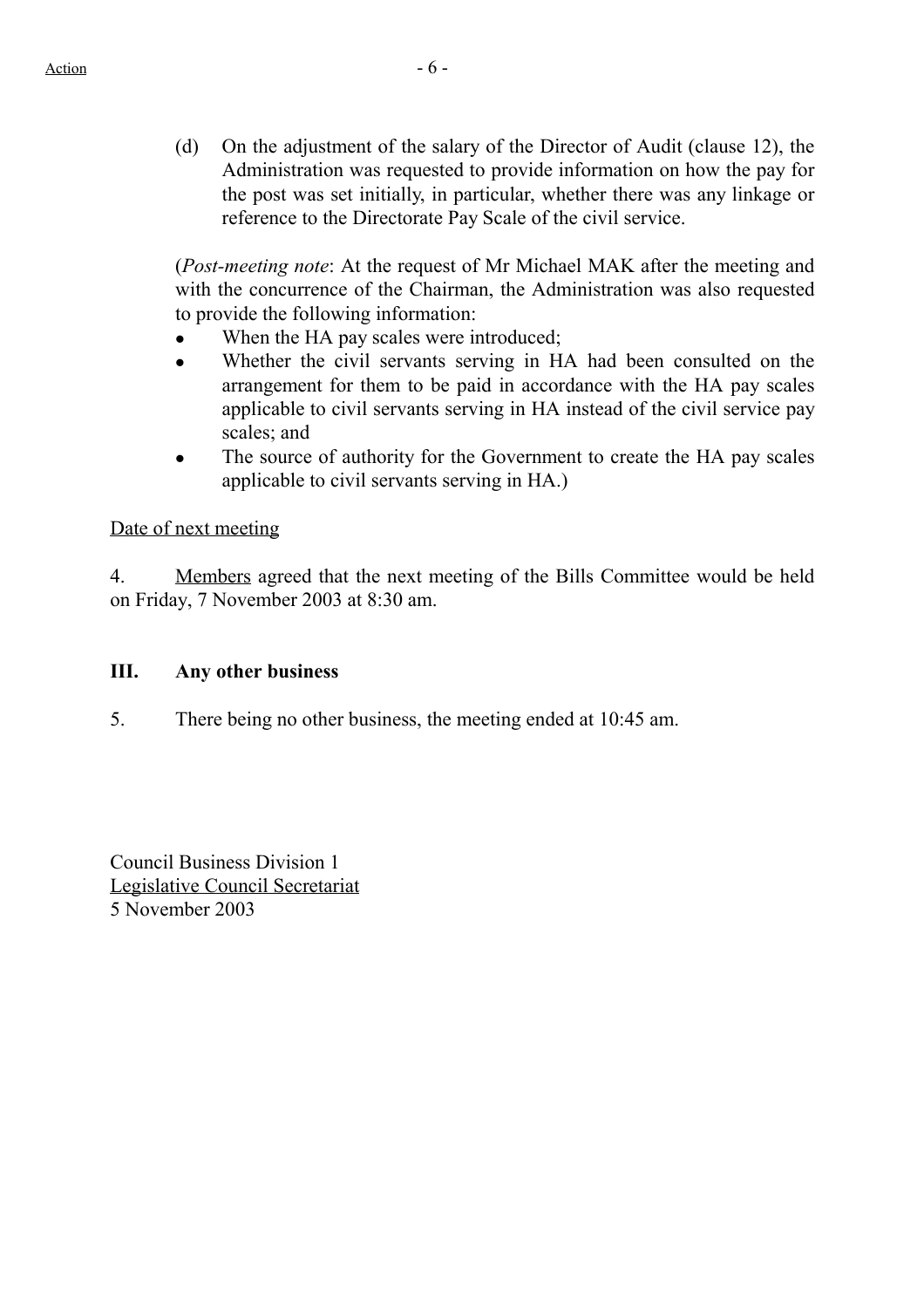(d) On the adjustment of the salary of the Director of Audit (clause 12), the Administration was requested to provide information on how the pay for the post was set initially, in particular, whether there was any linkage or reference to the Directorate Pay Scale of the civil service.

(*Post-meeting note*: At the request of Mr Michael MAK after the meeting and with the concurrence of the Chairman, the Administration was also requested to provide the following information:

- When the HA pay scales were introduced;
- Whether the civil servants serving in HA had been consulted on the arrangement for them to be paid in accordance with the HA pay scales applicable to civil servants serving in HA instead of the civil service pay scales; and
- The source of authority for the Government to create the HA pay scales applicable to civil servants serving in HA.)

# Date of next meeting

4. Members agreed that the next meeting of the Bills Committee would be held on Friday, 7 November 2003 at 8:30 am.

### **III. Any other business**

5. There being no other business, the meeting ended at 10:45 am.

Council Business Division 1 Legislative Council Secretariat 5 November 2003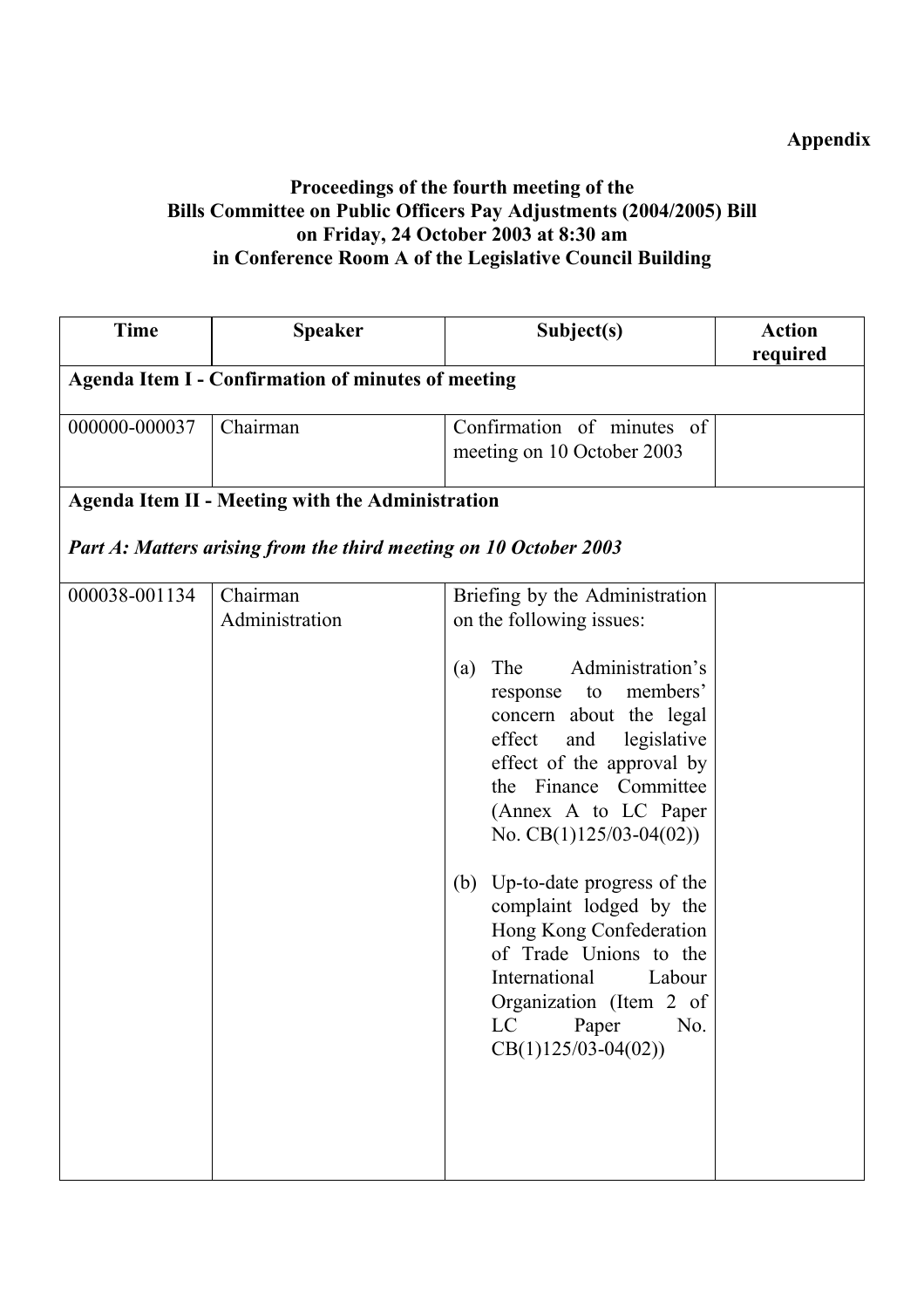# **Appendix**

# **Proceedings of the fourth meeting of the Bills Committee on Public Officers Pay Adjustments (2004/2005) Bill on Friday, 24 October 2003 at 8:30 am in Conference Room A of the Legislative Council Building**

| <b>Time</b>   | <b>Speaker</b>                                                    | Subject(s)                                                                                                                                                                                                                   | <b>Action</b><br>required |  |  |
|---------------|-------------------------------------------------------------------|------------------------------------------------------------------------------------------------------------------------------------------------------------------------------------------------------------------------------|---------------------------|--|--|
|               | <b>Agenda Item I - Confirmation of minutes of meeting</b>         |                                                                                                                                                                                                                              |                           |  |  |
| 000000-000037 | Chairman                                                          | Confirmation of minutes of<br>meeting on 10 October 2003                                                                                                                                                                     |                           |  |  |
|               | <b>Agenda Item II - Meeting with the Administration</b>           |                                                                                                                                                                                                                              |                           |  |  |
|               | Part A: Matters arising from the third meeting on 10 October 2003 |                                                                                                                                                                                                                              |                           |  |  |
| 000038-001134 | Chairman<br>Administration                                        | Briefing by the Administration<br>on the following issues:                                                                                                                                                                   |                           |  |  |
|               |                                                                   | Administration's<br>The<br>(a)<br>response to members'<br>concern about the legal<br>effect<br>and<br>legislative<br>effect of the approval by<br>the Finance Committee<br>(Annex A to LC Paper<br>No. $CB(1)125/03-04(02))$ |                           |  |  |
|               |                                                                   | Up-to-date progress of the<br>(b)<br>complaint lodged by the<br>Hong Kong Confederation<br>of Trade Unions to the<br>International<br>Labour<br>Organization (Item 2 of<br>Paper<br>No.<br>LC<br>$CB(1)125/03-04(02))$       |                           |  |  |
|               |                                                                   |                                                                                                                                                                                                                              |                           |  |  |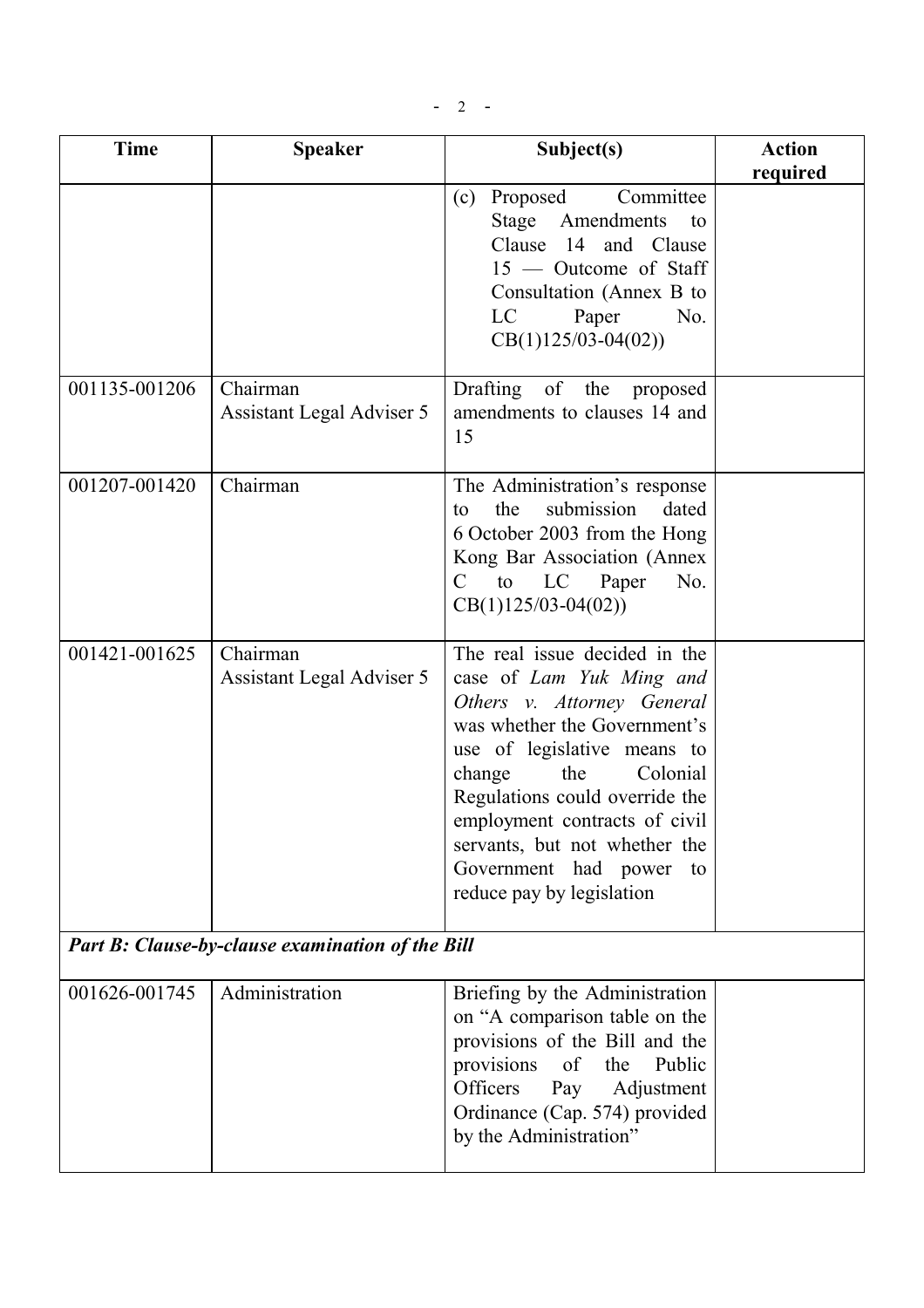$- 2 -$ 

| <b>Time</b>                                      | <b>Speaker</b>                        | Subject(s)                                                                                                                                                                                                                                                                                                                                         | <b>Action</b><br>required |
|--------------------------------------------------|---------------------------------------|----------------------------------------------------------------------------------------------------------------------------------------------------------------------------------------------------------------------------------------------------------------------------------------------------------------------------------------------------|---------------------------|
|                                                  |                                       | (c) Proposed<br>Committee<br>Stage Amendments<br>to<br>Clause 14 and Clause<br>$15$ — Outcome of Staff<br>Consultation (Annex B to<br>LC<br>Paper<br>No.<br>$CB(1)125/03-04(02))$                                                                                                                                                                  |                           |
| 001135-001206                                    | Chairman<br>Assistant Legal Adviser 5 | Drafting of the<br>proposed<br>amendments to clauses 14 and<br>15                                                                                                                                                                                                                                                                                  |                           |
| 001207-001420                                    | Chairman                              | The Administration's response<br>the<br>submission<br>dated<br>to<br>6 October 2003 from the Hong<br>Kong Bar Association (Annex<br>C to LC Paper<br>No.<br>$CB(1)125/03-04(02))$                                                                                                                                                                  |                           |
| 001421-001625                                    | Chairman<br>Assistant Legal Adviser 5 | The real issue decided in the<br>case of Lam Yuk Ming and<br>Others v. Attorney General<br>was whether the Government's<br>use of legislative means to<br>Colonial<br>change<br>the<br>Regulations could override the<br>employment contracts of civil<br>servants, but not whether the<br>Government had power<br>to<br>reduce pay by legislation |                           |
| Part B: Clause-by-clause examination of the Bill |                                       |                                                                                                                                                                                                                                                                                                                                                    |                           |
| 001626-001745                                    | Administration                        | Briefing by the Administration<br>on "A comparison table on the<br>provisions of the Bill and the<br>of<br>provisions<br>the<br>Public<br>Officers<br>Pay<br>Adjustment<br>Ordinance (Cap. 574) provided<br>by the Administration"                                                                                                                 |                           |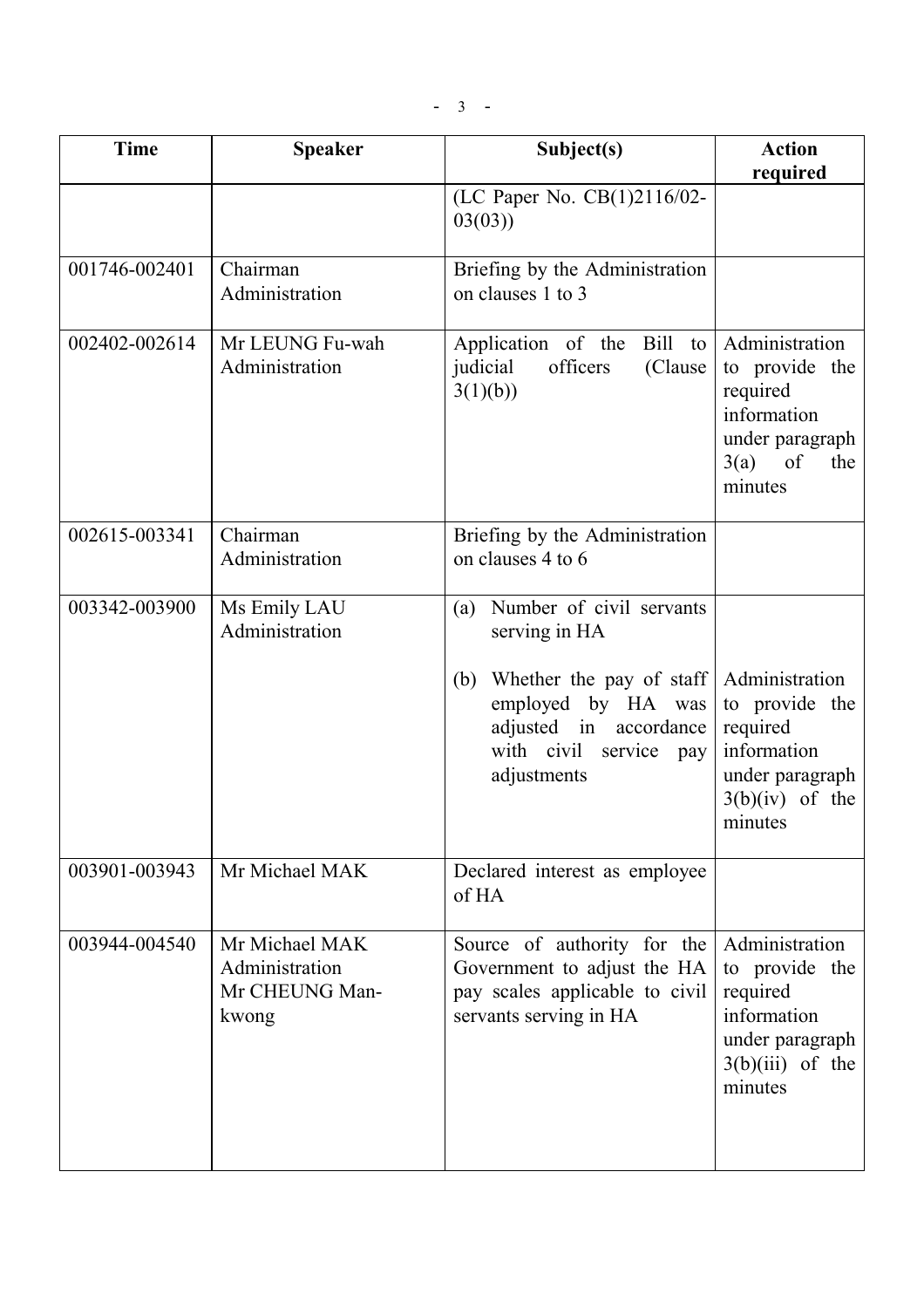| <b>Time</b>   | <b>Speaker</b>                                              | Subject(s)                                                                                                                  | <b>Action</b><br>required                                                                                       |
|---------------|-------------------------------------------------------------|-----------------------------------------------------------------------------------------------------------------------------|-----------------------------------------------------------------------------------------------------------------|
|               |                                                             | (LC Paper No. CB(1)2116/02-<br>03(03)                                                                                       |                                                                                                                 |
| 001746-002401 | Chairman<br>Administration                                  | Briefing by the Administration<br>on clauses 1 to 3                                                                         |                                                                                                                 |
| 002402-002614 | Mr LEUNG Fu-wah<br>Administration                           | Bill<br>Application of the<br>to<br>officers<br>judicial<br>(Clause<br>3(1)(b)                                              | Administration<br>to provide the<br>required<br>information<br>under paragraph<br>3(a)<br>of<br>the<br>minutes  |
| 002615-003341 | Chairman<br>Administration                                  | Briefing by the Administration<br>on clauses 4 to 6                                                                         |                                                                                                                 |
| 003342-003900 | Ms Emily LAU<br>Administration                              | Number of civil servants<br>(a)<br>serving in HA                                                                            |                                                                                                                 |
|               |                                                             | Whether the pay of staff<br>(b)<br>employed by HA was<br>adjusted in<br>accordance<br>with civil service pay<br>adjustments | Administration<br>to provide the<br>required<br>information<br>under paragraph<br>$3(b)(iv)$ of the<br>minutes  |
| 003901-003943 | Mr Michael MAK                                              | Declared interest as employee<br>of HA                                                                                      |                                                                                                                 |
| 003944-004540 | Mr Michael MAK<br>Administration<br>Mr CHEUNG Man-<br>kwong | Source of authority for the<br>Government to adjust the HA<br>pay scales applicable to civil<br>servants serving in HA      | Administration<br>to provide the<br>required<br>information<br>under paragraph<br>$3(b)(iii)$ of the<br>minutes |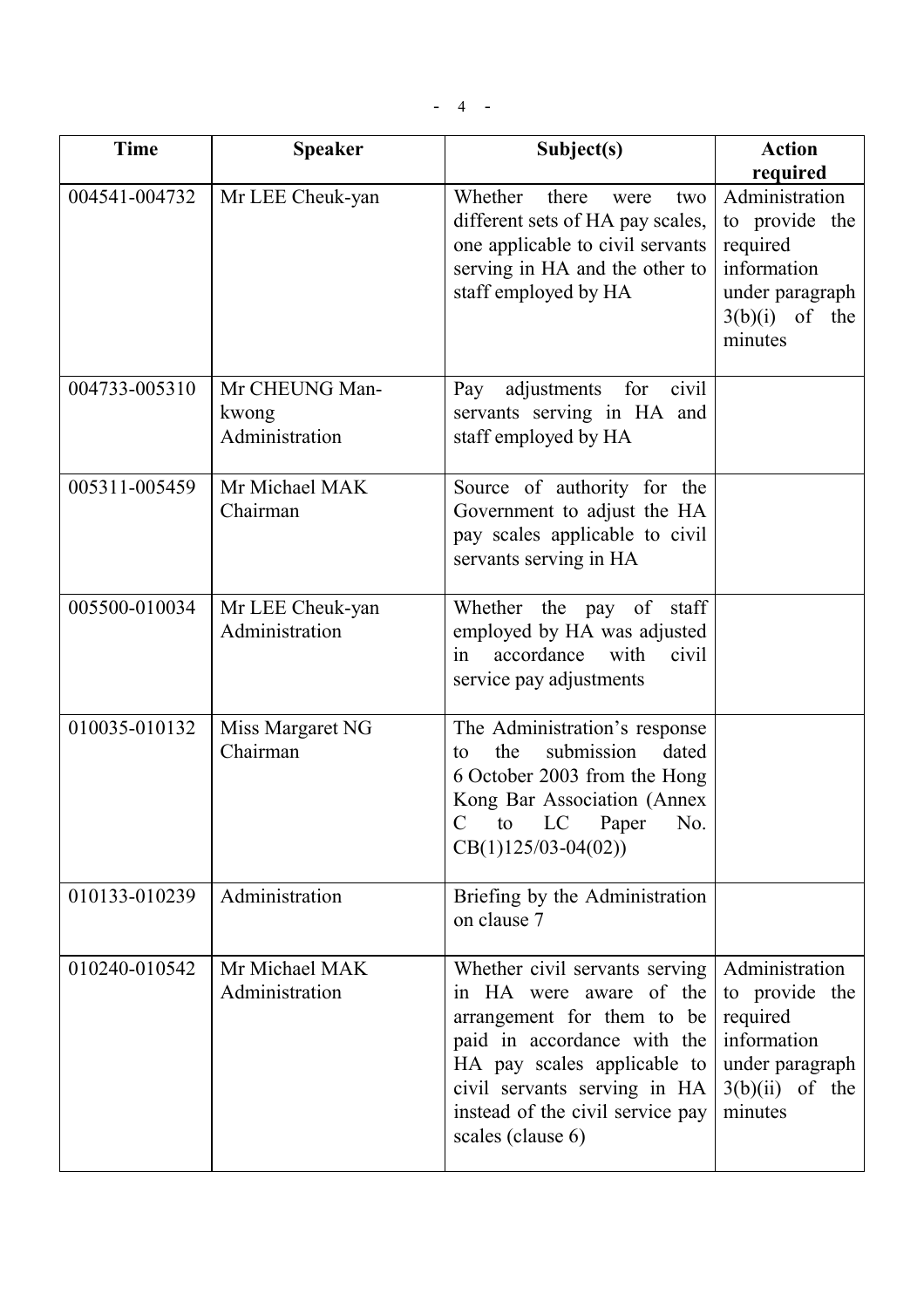| <b>Time</b>   | <b>Speaker</b>                            | Subject(s)                                                                                                                                                                                                                                     | <b>Action</b><br>required                                                                                      |
|---------------|-------------------------------------------|------------------------------------------------------------------------------------------------------------------------------------------------------------------------------------------------------------------------------------------------|----------------------------------------------------------------------------------------------------------------|
| 004541-004732 | Mr LEE Cheuk-yan                          | Whether<br>there<br>were<br>two<br>different sets of HA pay scales,<br>one applicable to civil servants<br>serving in HA and the other to<br>staff employed by HA                                                                              | Administration<br>to provide the<br>required<br>information<br>under paragraph<br>$3(b)(i)$ of the<br>minutes  |
| 004733-005310 | Mr CHEUNG Man-<br>kwong<br>Administration | adjustments<br>for<br>civil<br>Pay<br>servants serving in HA and<br>staff employed by HA                                                                                                                                                       |                                                                                                                |
| 005311-005459 | Mr Michael MAK<br>Chairman                | Source of authority for the<br>Government to adjust the HA<br>pay scales applicable to civil<br>servants serving in HA                                                                                                                         |                                                                                                                |
| 005500-010034 | Mr LEE Cheuk-yan<br>Administration        | Whether the pay of staff<br>employed by HA was adjusted<br>accordance<br>with<br>civil<br>in<br>service pay adjustments                                                                                                                        |                                                                                                                |
| 010035-010132 | Miss Margaret NG<br>Chairman              | The Administration's response<br>the<br>submission<br>dated<br>to<br>6 October 2003 from the Hong<br>Kong Bar Association (Annex<br>C to LC Paper No.<br>$CB(1)125/03-04(02))$                                                                 |                                                                                                                |
| 010133-010239 | Administration                            | Briefing by the Administration<br>on clause 7                                                                                                                                                                                                  |                                                                                                                |
| 010240-010542 | Mr Michael MAK<br>Administration          | Whether civil servants serving<br>in HA were aware of the<br>arrangement for them to be<br>paid in accordance with the<br>HA pay scales applicable to<br>civil servants serving in HA<br>instead of the civil service pay<br>scales (clause 6) | Administration<br>to provide the<br>required<br>information<br>under paragraph<br>$3(b)(ii)$ of the<br>minutes |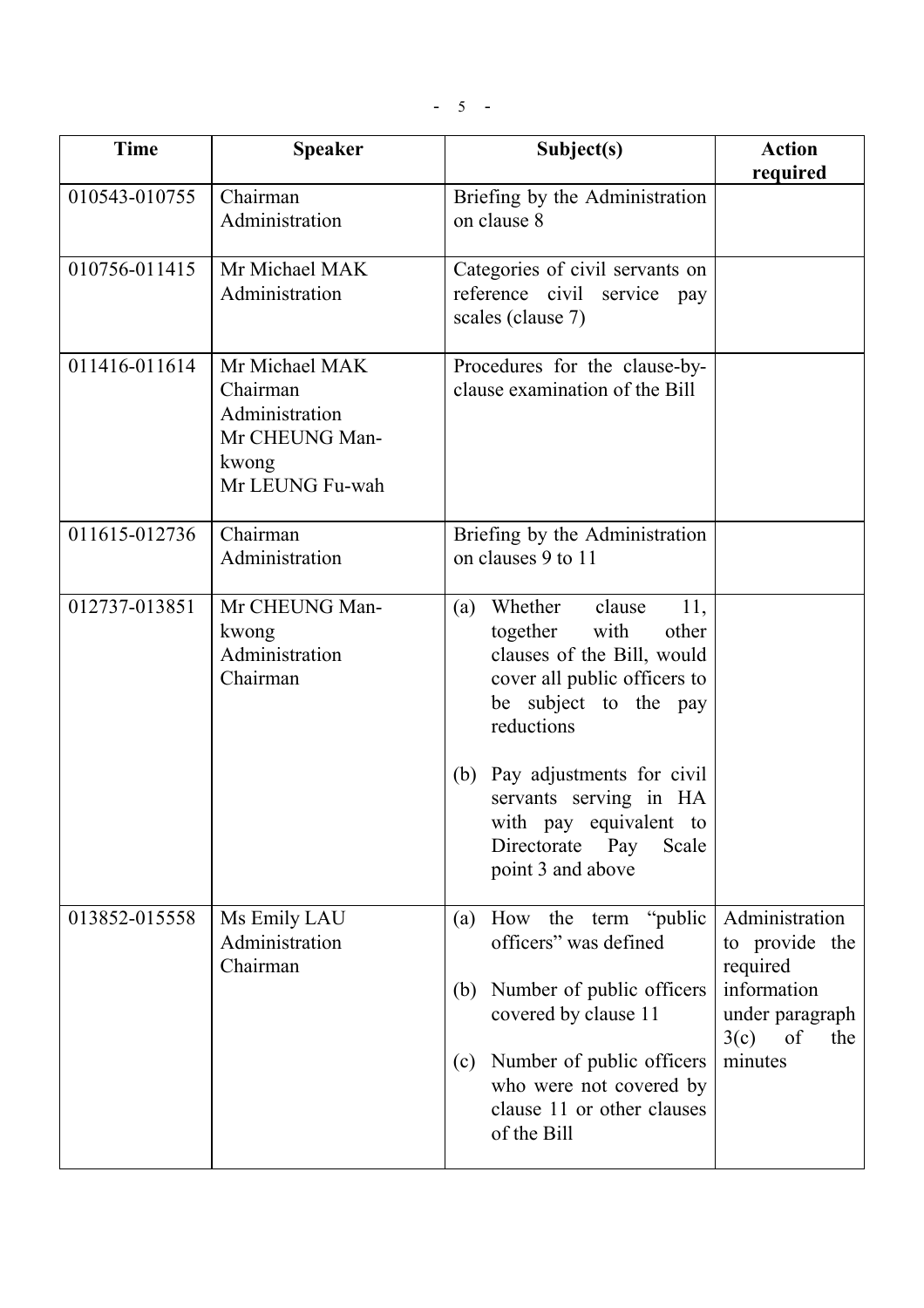| <b>Time</b>   | <b>Speaker</b>                                                                             | Subject(s)                                                                                                                                                                                                                                             | <b>Action</b><br>required                                                                                     |
|---------------|--------------------------------------------------------------------------------------------|--------------------------------------------------------------------------------------------------------------------------------------------------------------------------------------------------------------------------------------------------------|---------------------------------------------------------------------------------------------------------------|
| 010543-010755 | Chairman<br>Administration                                                                 | Briefing by the Administration<br>on clause 8                                                                                                                                                                                                          |                                                                                                               |
| 010756-011415 | Mr Michael MAK<br>Administration                                                           | Categories of civil servants on<br>reference civil service<br>pay<br>scales (clause 7)                                                                                                                                                                 |                                                                                                               |
| 011416-011614 | Mr Michael MAK<br>Chairman<br>Administration<br>Mr CHEUNG Man-<br>kwong<br>Mr LEUNG Fu-wah | Procedures for the clause-by-<br>clause examination of the Bill                                                                                                                                                                                        |                                                                                                               |
| 011615-012736 | Chairman<br>Administration                                                                 | Briefing by the Administration<br>on clauses 9 to 11                                                                                                                                                                                                   |                                                                                                               |
| 012737-013851 | Mr CHEUNG Man-<br>kwong<br>Administration<br>Chairman                                      | Whether<br>clause<br>11,<br>(a)<br>with<br>together<br>other<br>clauses of the Bill, would<br>cover all public officers to<br>be subject to the pay<br>reductions<br>(b) Pay adjustments for civil<br>servants serving in HA<br>with pay equivalent to |                                                                                                               |
|               |                                                                                            | Directorate Pay<br>Scale<br>point 3 and above                                                                                                                                                                                                          |                                                                                                               |
| 013852-015558 | Ms Emily LAU<br>Administration<br>Chairman                                                 | How the term "public"<br>(a)<br>officers" was defined<br>Number of public officers<br>(b)<br>covered by clause 11<br>Number of public officers                                                                                                         | Administration<br>to provide the<br>required<br>information<br>under paragraph<br>$3(c)$ of<br>the<br>minutes |
|               |                                                                                            | (c)<br>who were not covered by<br>clause 11 or other clauses<br>of the Bill                                                                                                                                                                            |                                                                                                               |